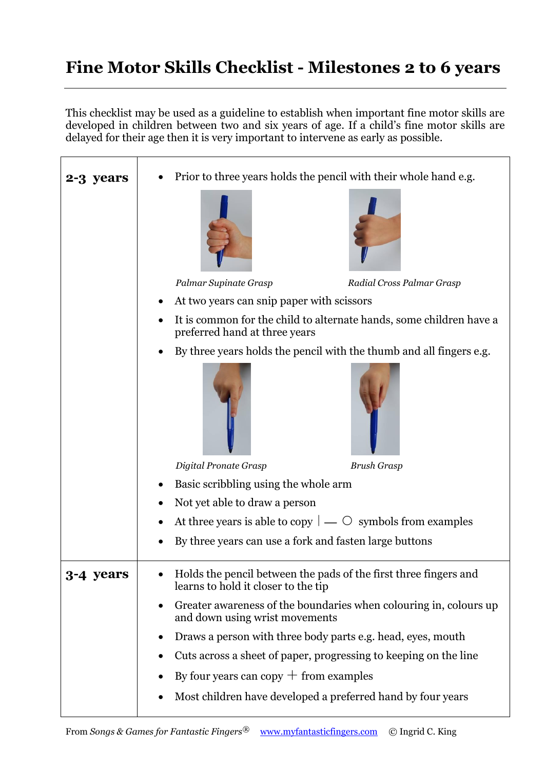## **Fine Motor Skills Checklist - Milestones 2 to 6 years**

This checklist may be used as a guideline to establish when important fine motor skills are developed in children between two and six years of age. If a child's fine motor skills are delayed for their age then it is very important to intervene as early as possible.

| 2-3 years | Prior to three years holds the pencil with their whole hand e.g.                                                                                                                                                                                                                                                                                                                                                                                                               |
|-----------|--------------------------------------------------------------------------------------------------------------------------------------------------------------------------------------------------------------------------------------------------------------------------------------------------------------------------------------------------------------------------------------------------------------------------------------------------------------------------------|
|           | Palmar Supinate Grasp<br>Radial Cross Palmar Grasp<br>At two years can snip paper with scissors<br>It is common for the child to alternate hands, some children have a                                                                                                                                                                                                                                                                                                         |
|           | preferred hand at three years<br>By three years holds the pencil with the thumb and all fingers e.g.<br>Digital Pronate Grasp<br><b>Brush Grasp</b><br>Basic scribbling using the whole arm                                                                                                                                                                                                                                                                                    |
|           | Not yet able to draw a person<br>At three years is able to copy $ $ — $\circ$ symbols from examples<br>By three years can use a fork and fasten large buttons                                                                                                                                                                                                                                                                                                                  |
| 3-4 years | Holds the pencil between the pads of the first three fingers and<br>learns to hold it closer to the tip<br>Greater awareness of the boundaries when colouring in, colours up<br>$\bullet$<br>and down using wrist movements<br>Draws a person with three body parts e.g. head, eyes, mouth<br>٠<br>Cuts across a sheet of paper, progressing to keeping on the line<br>By four years can copy $+$ from examples<br>Most children have developed a preferred hand by four years |